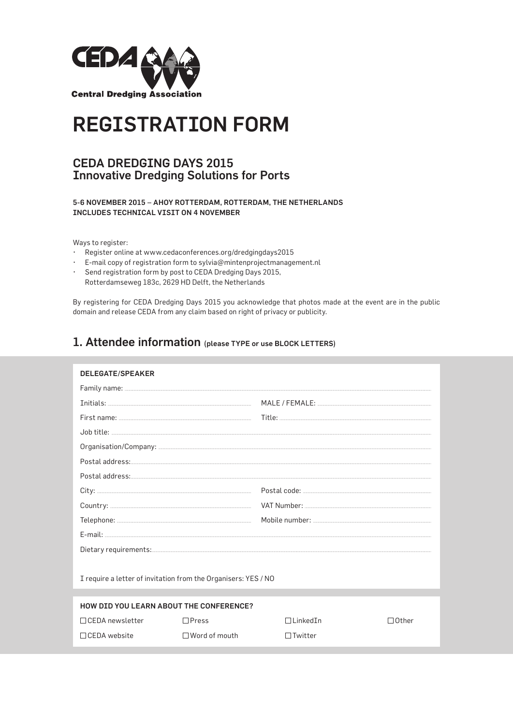

# **REGISTRATION FORM**

#### **CEDA DREDGING DAYS 2015 Innovative Dredging Solutions for Ports**

5-6 NOVEMBER 2015 - AHOY ROTTERDAM, ROTTERDAM, THE NETHERLANDS INCLUDES TECHNICAL VISIT ON 4 NOVEMBER

Ways to register:

- · Register online at www.cedaconferences.org/dredgingdays2015
- · E-mail copy of registration form to sylvia@mintenprojectmanagement.nl
- · Send registration form by post to CEDA Dredging Days 2015, Rotterdamseweg 183c, 2629 HD Delft, the Netherlands

By registering for CEDA Dredging Days 2015 you acknowledge that photos made at the event are in the public domain and release CEDA from any claim based on right of privacy or publicity.

## 1. Attendee information (please TYPE or use BLOCK LETTERS)

| <b>DELEGATE/SPEAKER</b>                                                          |                      |                                                                                                                                                                                                                                     |              |  |
|----------------------------------------------------------------------------------|----------------------|-------------------------------------------------------------------------------------------------------------------------------------------------------------------------------------------------------------------------------------|--------------|--|
|                                                                                  |                      |                                                                                                                                                                                                                                     |              |  |
|                                                                                  |                      | MALE / FEMALE: University of the MALE / FEMALE:                                                                                                                                                                                     |              |  |
| First name: www.communication.com/www.communications.com/www.communications.com/ |                      | <b>Title:</b> The contract of the contract of the contract of the contract of the contract of the contract of the contract of the contract of the contract of the contract of the contract of the contract of the contract of the c |              |  |
|                                                                                  |                      |                                                                                                                                                                                                                                     |              |  |
|                                                                                  |                      |                                                                                                                                                                                                                                     |              |  |
|                                                                                  |                      |                                                                                                                                                                                                                                     |              |  |
|                                                                                  |                      |                                                                                                                                                                                                                                     |              |  |
|                                                                                  |                      |                                                                                                                                                                                                                                     |              |  |
|                                                                                  |                      | VAT Number: VAT Number:                                                                                                                                                                                                             |              |  |
|                                                                                  |                      | Mobile number: with a state of the state of the state of the state of the state of the state of the state of the state of the state of the state of the state of the state of the state of the state of the state of the state      |              |  |
|                                                                                  |                      |                                                                                                                                                                                                                                     |              |  |
|                                                                                  |                      |                                                                                                                                                                                                                                     |              |  |
| I require a letter of invitation from the Organisers: YES / NO                   |                      |                                                                                                                                                                                                                                     |              |  |
|                                                                                  |                      |                                                                                                                                                                                                                                     |              |  |
| <b>HOW DID YOU LEARN ABOUT THE CONFERENCE?</b>                                   |                      |                                                                                                                                                                                                                                     |              |  |
| $\Box$ CEDA newsletter                                                           | $\Box$ Press         | $\Box$ l inked $\Im$                                                                                                                                                                                                                | $\Box$ Other |  |
| $\Box$ CFDA website                                                              | $\Box$ Word of mouth | $\Box$ Twitter                                                                                                                                                                                                                      |              |  |
|                                                                                  |                      |                                                                                                                                                                                                                                     |              |  |